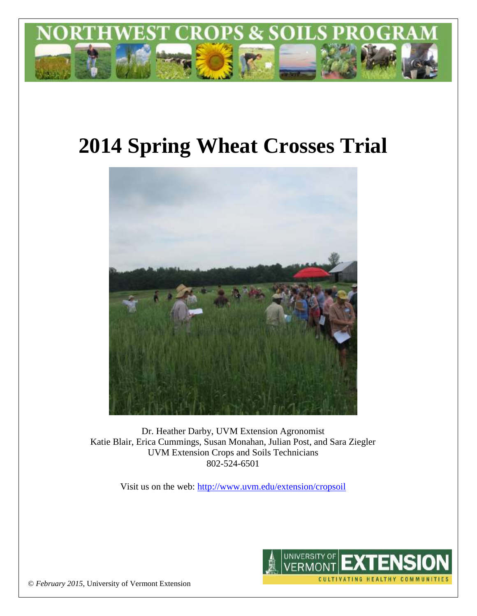

# **2014 Spring Wheat Crosses Trial**



Dr. Heather Darby, UVM Extension Agronomist Katie Blair, Erica Cummings, Susan Monahan, Julian Post, and Sara Ziegler UVM Extension Crops and Soils Technicians 802-524-6501

Visit us on the web: <http://www.uvm.edu/extension/cropsoil>



© *February 2015*, University of Vermont Extension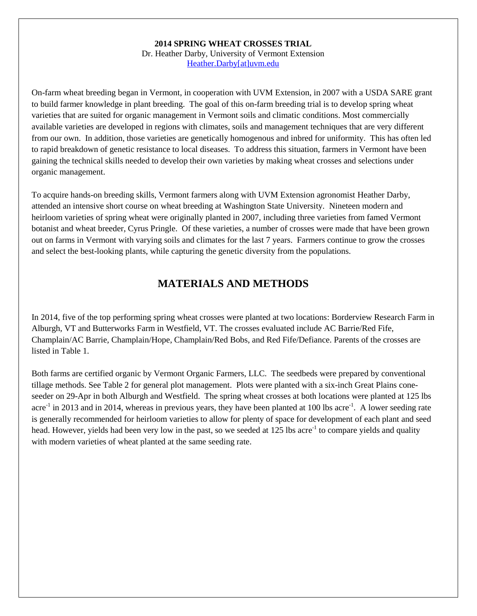#### **2014 SPRING WHEAT CROSSES TRIAL**

Dr. Heather Darby, University of Vermont Extension [Heather.Darby\[at\]uvm.edu](mailto:Heather.Darby@uvm.edu)

On-farm wheat breeding began in Vermont, in cooperation with UVM Extension, in 2007 with a USDA SARE grant to build farmer knowledge in plant breeding. The goal of this on-farm breeding trial is to develop spring wheat varieties that are suited for organic management in Vermont soils and climatic conditions. Most commercially available varieties are developed in regions with climates, soils and management techniques that are very different from our own. In addition, those varieties are genetically homogenous and inbred for uniformity. This has often led to rapid breakdown of genetic resistance to local diseases. To address this situation, farmers in Vermont have been gaining the technical skills needed to develop their own varieties by making wheat crosses and selections under organic management.

To acquire hands-on breeding skills, Vermont farmers along with UVM Extension agronomist Heather Darby, attended an intensive short course on wheat breeding at Washington State University. Nineteen modern and heirloom varieties of spring wheat were originally planted in 2007, including three varieties from famed Vermont botanist and wheat breeder, Cyrus Pringle. Of these varieties, a number of crosses were made that have been grown out on farms in Vermont with varying soils and climates for the last 7 years. Farmers continue to grow the crosses and select the best-looking plants, while capturing the genetic diversity from the populations.

# **MATERIALS AND METHODS**

In 2014, five of the top performing spring wheat crosses were planted at two locations: Borderview Research Farm in Alburgh, VT and Butterworks Farm in Westfield, VT. The crosses evaluated include AC Barrie/Red Fife, Champlain/AC Barrie, Champlain/Hope, Champlain/Red Bobs, and Red Fife/Defiance. Parents of the crosses are listed in Table 1.

Both farms are certified organic by Vermont Organic Farmers, LLC. The seedbeds were prepared by conventional tillage methods. See Table 2 for general plot management. Plots were planted with a six-inch Great Plains coneseeder on 29-Apr in both Alburgh and Westfield. The spring wheat crosses at both locations were planted at 125 lbs acre<sup>-1</sup> in 2013 and in 2014, whereas in previous years, they have been planted at 100 lbs acre<sup>-1</sup>. A lower seeding rate is generally recommended for heirloom varieties to allow for plenty of space for development of each plant and seed head. However, yields had been very low in the past, so we seeded at 125 lbs acre<sup>-1</sup> to compare yields and quality with modern varieties of wheat planted at the same seeding rate.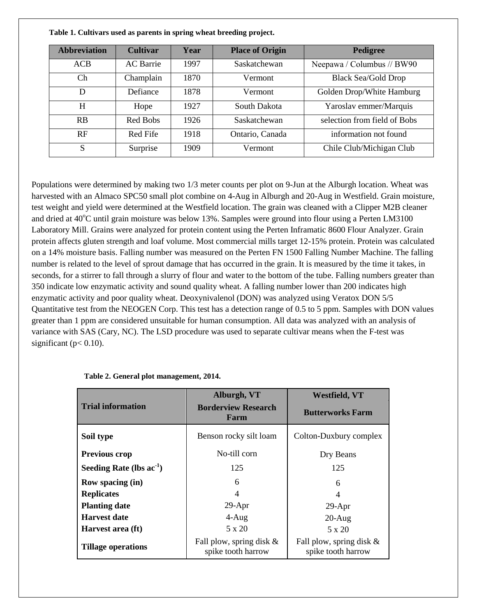| <b>Abbreviation</b> | <b>Cultivar</b>  | Year | <b>Place of Origin</b> | Pedigree                     |
|---------------------|------------------|------|------------------------|------------------------------|
| <b>ACB</b>          | <b>AC</b> Barrie | 1997 | Saskatchewan           | Neepawa / Columbus // BW90   |
| Ch                  | Champlain        | 1870 | Vermont                | <b>Black Sea/Gold Drop</b>   |
| D                   | Defiance         | 1878 | <b>Vermont</b>         | Golden Drop/White Hamburg    |
| H                   | Hope             | 1927 | South Dakota           | Yaroslav emmer/Marquis       |
| <b>RB</b>           | Red Bobs         | 1926 | Saskatchewan           | selection from field of Bobs |
| RF                  | Red Fife         | 1918 | Ontario, Canada        | information not found        |
| S                   | Surprise         | 1909 | Vermont                | Chile Club/Michigan Club     |

**Table 1. Cultivars used as parents in spring wheat breeding project.** 

Populations were determined by making two 1/3 meter counts per plot on 9-Jun at the Alburgh location. Wheat was harvested with an Almaco SPC50 small plot combine on 4-Aug in Alburgh and 20-Aug in Westfield. Grain moisture, test weight and yield were determined at the Westfield location. The grain was cleaned with a Clipper M2B cleaner and dried at  $40^{\circ}$ C until grain moisture was below 13%. Samples were ground into flour using a Perten LM3100 Laboratory Mill. Grains were analyzed for protein content using the Perten Inframatic 8600 Flour Analyzer. Grain protein affects gluten strength and loaf volume. Most commercial mills target 12-15% protein. Protein was calculated on a 14% moisture basis. Falling number was measured on the Perten FN 1500 Falling Number Machine. The falling number is related to the level of sprout damage that has occurred in the grain. It is measured by the time it takes, in seconds, for a stirrer to fall through a slurry of flour and water to the bottom of the tube. Falling numbers greater than 350 indicate low enzymatic activity and sound quality wheat. A falling number lower than 200 indicates high enzymatic activity and poor quality wheat. Deoxynivalenol (DON) was analyzed using Veratox DON 5/5 Quantitative test from the NEOGEN Corp. This test has a detection range of 0.5 to 5 ppm. Samples with DON values greater than 1 ppm are considered unsuitable for human consumption. All data was analyzed with an analysis of variance with SAS (Cary, NC). The LSD procedure was used to separate cultivar means when the F-test was significant ( $p < 0.10$ ).

|                               | Alburgh, VT                                       | <b>Westfield, VT</b>                              |  |
|-------------------------------|---------------------------------------------------|---------------------------------------------------|--|
| <b>Trial information</b>      | <b>Borderview Research</b><br>Farm                | <b>Butterworks Farm</b>                           |  |
| Soil type                     | Benson rocky silt loam                            | Colton-Duxbury complex                            |  |
| <b>Previous crop</b>          | No-till corn                                      | Dry Beans                                         |  |
| Seeding Rate (lbs $ac^{-1}$ ) | 125                                               | 125                                               |  |
| Row spacing (in)              | 6                                                 | 6                                                 |  |
| <b>Replicates</b>             | 4                                                 | 4                                                 |  |
| <b>Planting date</b>          | $29-Apr$                                          | $29-Apr$                                          |  |
| <b>Harvest date</b>           | $4-Aug$                                           | $20$ -Aug                                         |  |
| Harvest area (ft)             | 5 x 20                                            | $5 \times 20$                                     |  |
| <b>Tillage operations</b>     | Fall plow, spring disk $\&$<br>spike tooth harrow | Fall plow, spring disk $\&$<br>spike tooth harrow |  |

|  | Table 2. General plot management, 2014. |  |
|--|-----------------------------------------|--|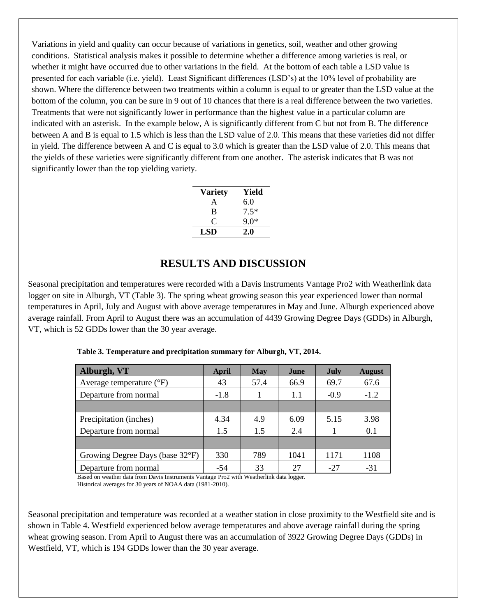Variations in yield and quality can occur because of variations in genetics, soil, weather and other growing conditions. Statistical analysis makes it possible to determine whether a difference among varieties is real, or whether it might have occurred due to other variations in the field. At the bottom of each table a LSD value is presented for each variable (i.e. yield). Least Significant differences (LSD's) at the 10% level of probability are shown. Where the difference between two treatments within a column is equal to or greater than the LSD value at the bottom of the column, you can be sure in 9 out of 10 chances that there is a real difference between the two varieties. Treatments that were not significantly lower in performance than the highest value in a particular column are indicated with an asterisk. In the example below, A is significantly different from C but not from B. The difference between A and B is equal to 1.5 which is less than the LSD value of 2.0. This means that these varieties did not differ in yield. The difference between A and C is equal to 3.0 which is greater than the LSD value of 2.0. This means that the yields of these varieties were significantly different from one another. The asterisk indicates that B was not significantly lower than the top yielding variety.

| Variety        | Yield  |
|----------------|--------|
| A              | 6.0    |
| B              | $7.5*$ |
| $\mathfrak{c}$ | $9.0*$ |
| LSD            | 2.0    |

## **RESULTS AND DISCUSSION**

Seasonal precipitation and temperatures were recorded with a Davis Instruments Vantage Pro2 with Weatherlink data logger on site in Alburgh, VT (Table 3). The spring wheat growing season this year experienced lower than normal temperatures in April, July and August with above average temperatures in May and June. Alburgh experienced above average rainfall. From April to August there was an accumulation of 4439 Growing Degree Days (GDDs) in Alburgh, VT, which is 52 GDDs lower than the 30 year average.

| Alburgh, VT                         | April  | <b>May</b> | <b>June</b> | <b>July</b> | <b>August</b> |
|-------------------------------------|--------|------------|-------------|-------------|---------------|
| Average temperature $({}^{\circ}F)$ | 43     | 57.4       | 66.9        | 69.7        | 67.6          |
| Departure from normal               | $-1.8$ |            | 1.1         | $-0.9$      | $-1.2$        |
|                                     |        |            |             |             |               |
| Precipitation (inches)              | 4.34   | 4.9        | 6.09        | 5.15        | 3.98          |
| Departure from normal               | 1.5    | 1.5        | 2.4         |             | 0.1           |
|                                     |        |            |             |             |               |
| Growing Degree Days (base 32°F)     | 330    | 789        | 1041        | 1171        | 1108          |
| Departure from normal               | $-54$  | 33         | 27          | $-27$       | $-31$         |

**Table 3. Temperature and precipitation summary for Alburgh, VT, 2014.**

Based on weather data from Davis Instruments Vantage Pro2 with Weatherlink data logger. Historical averages for 30 years of NOAA data (1981-2010).

Seasonal precipitation and temperature was recorded at a weather station in close proximity to the Westfield site and is shown in Table 4. Westfield experienced below average temperatures and above average rainfall during the spring wheat growing season. From April to August there was an accumulation of 3922 Growing Degree Days (GDDs) in Westfield, VT, which is 194 GDDs lower than the 30 year average.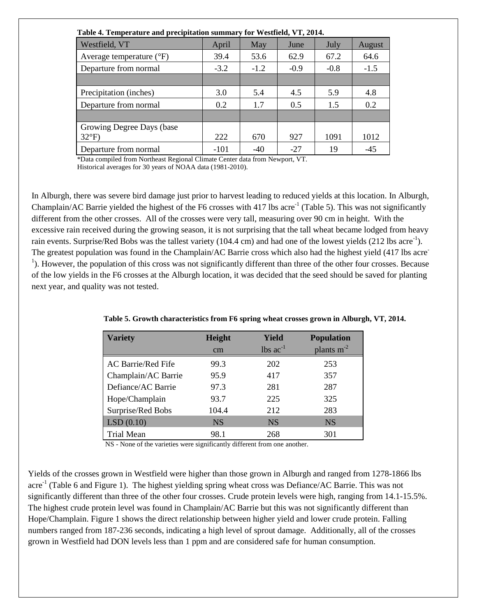| Table 4. Temperature and precipitation summary for Westfield, VT, 2014. |               |        |        |        |        |  |  |
|-------------------------------------------------------------------------|---------------|--------|--------|--------|--------|--|--|
| Westfield, VT                                                           | April         | May    | June   | July   | August |  |  |
| Average temperature $({}^{\circ}F)$                                     | 39.4          | 53.6   | 62.9   | 67.2   | 64.6   |  |  |
| Departure from normal                                                   | $-3.2$        | $-1.2$ | $-0.9$ | $-0.8$ | $-1.5$ |  |  |
|                                                                         |               |        |        |        |        |  |  |
| Precipitation (inches)                                                  | 3.0           | 5.4    | 4.5    | 5.9    | 4.8    |  |  |
| Departure from normal                                                   | $0.2^{\circ}$ | 1.7    | 0.5    | 1.5    | 0.2    |  |  |
|                                                                         |               |        |        |        |        |  |  |
| Growing Degree Days (base)                                              |               |        |        |        |        |  |  |
| $32^{\circ}F$                                                           | 222           | 670    | 927    | 1091   | 1012   |  |  |
| Departure from normal                                                   | $-101$        | $-40$  | $-27$  | 19     | $-45$  |  |  |

\*Data compiled from Northeast Regional Climate Center data from Newport, VT.

Historical averages for 30 years of NOAA data (1981-2010).

In Alburgh, there was severe bird damage just prior to harvest leading to reduced yields at this location. In Alburgh, Champlain/AC Barrie yielded the highest of the F6 crosses with 417 lbs acre<sup>-1</sup> (Table 5). This was not significantly different from the other crosses. All of the crosses were very tall, measuring over 90 cm in height. With the excessive rain received during the growing season, it is not surprising that the tall wheat became lodged from heavy rain events. Surprise/Red Bobs was the tallest variety  $(104.4 \text{ cm})$  and had one of the lowest yields  $(212 \text{ lbs acre}^{-1})$ . The greatest population was found in the Champlain/AC Barrie cross which also had the highest yield (417 lbs acre-<sup>1</sup>). However, the population of this cross was not significantly different than three of the other four crosses. Because of the low yields in the F6 crosses at the Alburgh location, it was decided that the seed should be saved for planting next year, and quality was not tested.

| <b>Variety</b>      | Height    | Yield                  | <b>Population</b> |
|---------------------|-----------|------------------------|-------------------|
|                     | cm        | $lbs$ ac <sup>-1</sup> | plants $m^{-2}$   |
| AC Barrie/Red Fife  | 99.3      | 202                    | 253               |
| Champlain/AC Barrie | 95.9      | 417                    | 357               |
| Defiance/AC Barrie  | 97.3      | 281                    | 287               |
| Hope/Champlain      | 93.7      | 225                    | 325               |
| Surprise/Red Bobs   | 104.4     | 212                    | 283               |
| LSD(0.10)           | <b>NS</b> | <b>NS</b>              | <b>NS</b>         |
| Trial Mean          | 98.1      | 268                    | 301               |

| Table 5. Growth characteristics from F6 spring wheat crosses grown in Alburgh, VT, 2014. |  |  |  |
|------------------------------------------------------------------------------------------|--|--|--|
|------------------------------------------------------------------------------------------|--|--|--|

NS - None of the varieties were significantly different from one another.

Yields of the crosses grown in Westfield were higher than those grown in Alburgh and ranged from 1278-1866 lbs acre<sup>-1</sup> (Table 6 and Figure 1). The highest yielding spring wheat cross was Defiance/AC Barrie. This was not significantly different than three of the other four crosses. Crude protein levels were high, ranging from 14.1-15.5%. The highest crude protein level was found in Champlain/AC Barrie but this was not significantly different than Hope/Champlain. Figure 1 shows the direct relationship between higher yield and lower crude protein. Falling numbers ranged from 187-236 seconds, indicating a high level of sprout damage. Additionally, all of the crosses grown in Westfield had DON levels less than 1 ppm and are considered safe for human consumption.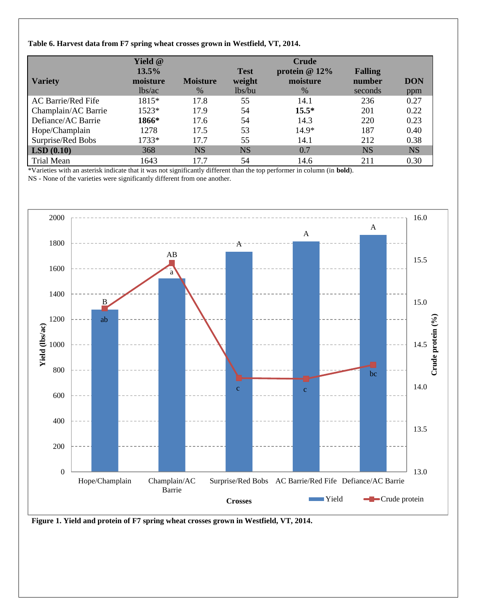### **Table 6. Harvest data from F7 spring wheat crosses grown in Westfield, VT, 2014.**

| <b>Variety</b>            | Yield @<br>13.5%<br>moisture<br>lbs/ac | <b>Moisture</b><br>$\%$ | <b>Test</b><br>weight<br>lbs/bu | <b>Crude</b><br>protein $@12\%$<br>moisture<br>$\%$ | <b>Falling</b><br>number<br>seconds | <b>DON</b><br>ppm |
|---------------------------|----------------------------------------|-------------------------|---------------------------------|-----------------------------------------------------|-------------------------------------|-------------------|
| <b>AC Barrie/Red Fife</b> | 1815*                                  | 17.8                    | 55                              | 14.1                                                | 236                                 | 0.27              |
| Champlain/AC Barrie       | 1523*                                  | 17.9                    | 54                              | $15.5*$                                             | 201                                 | 0.22              |
| Defiance/AC Barrie        | 1866*                                  | 17.6                    | 54                              | 14.3                                                | 220                                 | 0.23              |
| Hope/Champlain            | 1278                                   | 17.5                    | 53                              | $14.9*$                                             | 187                                 | 0.40              |
| Surprise/Red Bobs         | 1733*                                  | 17.7                    | 55                              | 14.1                                                | 212                                 | 0.38              |
| LSD(0.10)                 | 368                                    | <b>NS</b>               | <b>NS</b>                       | 0.7                                                 | <b>NS</b>                           | <b>NS</b>         |
| Trial Mean                | 1643                                   | 17.7                    | 54                              | 14.6                                                | 211                                 | 0.30              |

\*Varieties with an asterisk indicate that it was not significantly different than the top performer in column (in **bold**).

NS - None of the varieties were significantly different from one another.



**Figure 1. Yield and protein of F7 spring wheat crosses grown in Westfield, VT, 2014.**